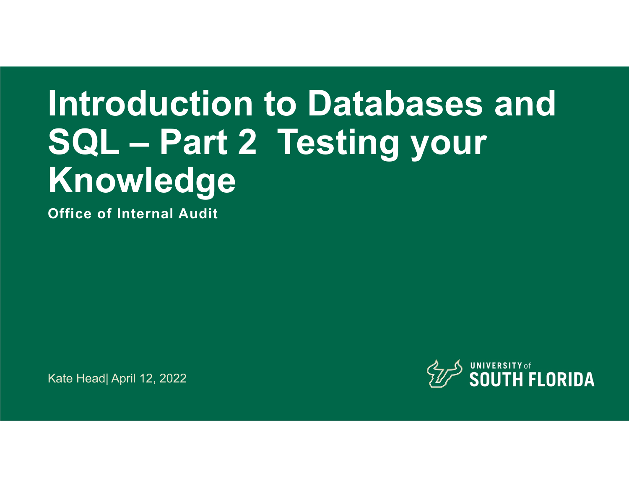# **Introduction to Databases and SQL – Part 2 Testing your Knowledge**

**Office of Internal Audit**

Kate Head| April 12, 2022

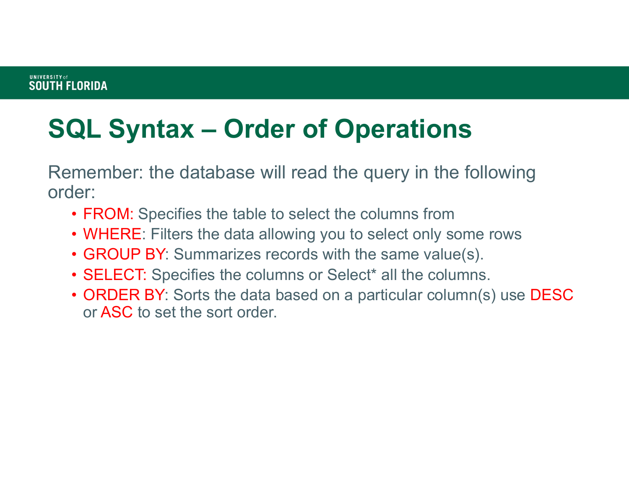# **SQL Syntax – Order of Operations**

Remember: the database will read the query in the following order:

- $\bullet$  FROM: Specifies the table to select the columns from
- WHERE: Filters the data allowing you to select only some rows
- GROUP BY: Summarizes records with the same value(s).
- $\bullet$  SELECT: Specifies the columns or Select $^*$  all the columns.
- ORDER BY: Sorts the data based on a particular column(s) use  $\mathsf{DESC}$ or ASC to set the sort order.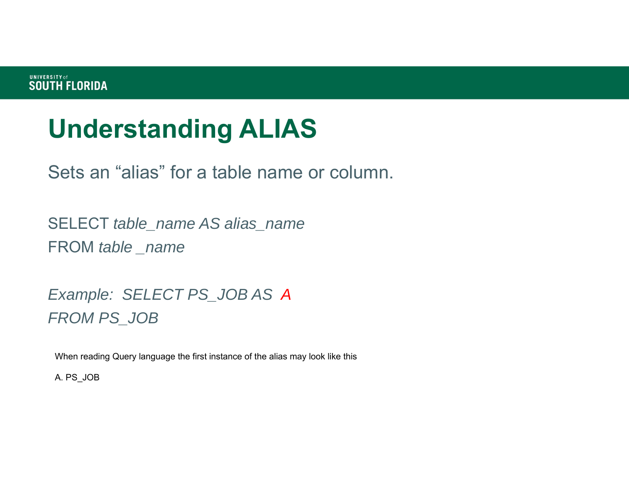# **Understanding ALIAS**

Sets an "alias" for a table name or column.

SELECT *table\_name AS alias\_name* FROM *table \_name*

*Example: SELECT PS\_JOB AS A FROM PS\_JOB*

When reading Query language the first instance of the alias may look like this

A. PS\_JOB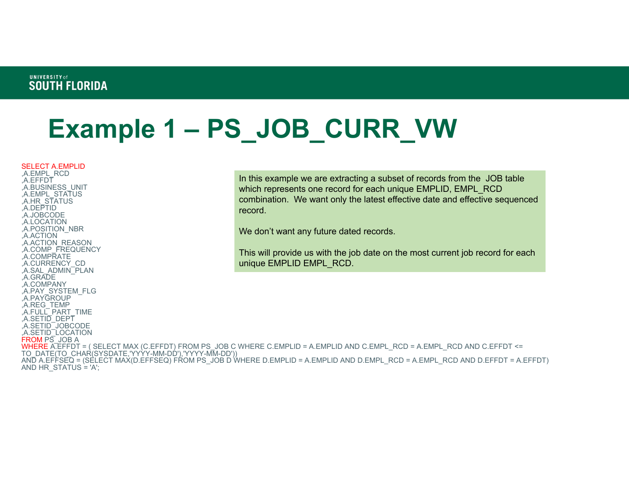# **Example 1 – PS\_JOB\_CURR\_VW**

SELECT A.EMPLID ,A.EMPL\_RCD

,A.EFFDT ,A.BUSINESS\_UNIT ,A.EMPL\_STATUS ,A.HR\_STATUS ,A.DEPTID ,A.JOBCODE ,A.LOCATION ,A.POSITION\_NBR ,A.ACTION ,A.ACTION\_REASON ,A.COMP\_FREQUENCY ,A.COMPRATE ,A.CURRENCY\_CD ,A.SAL\_ADMIN\_PLAN ,A.GRADE ,A.COMPANY ,A.PAY\_SYSTEM\_FLG ,A.PAYGROUP ,A.REG\_TEMP A.FULL PART\_TIME ,A.SETID\_DEPT ,A.SETID\_JOBCODE ,A.SETID\_LOCATION FROM PS JOB A AND HR\_STATUS  $= 'A';$ 

In this example we are extracting a subset of records from the JOB table which represents one record for each unique EMPLID, EMPL\_RCD combination. We want only the latest effective date and effective sequenced record.

We don't want any future dated records.

This will provide us with the job date on the most current job record for each unique EMPLID EMPL\_RCD.

WHERE A.EFFDT = ( SELECT MAX (C.EFFDT) FROM PS\_JOB C WHERE C.EMPLID = A.EMPLID AND C.EMPL\_RCD = A.EMPL\_RCD AND C.EFFDT <= TO\_DATE(TO\_CHAR(SYSDATE,'YYYY-MM-DD'),'YYYY-MM-DD')) AND A.EFFSEQ = (SELECT MAX(D.EFFSEQ) FROM PS\_JOB D WHERE D.EMPLID = A.EMPLID AND D.EMPL\_RCD = A.EMPL\_RCD AND D.EFFDT = A.EFFDT)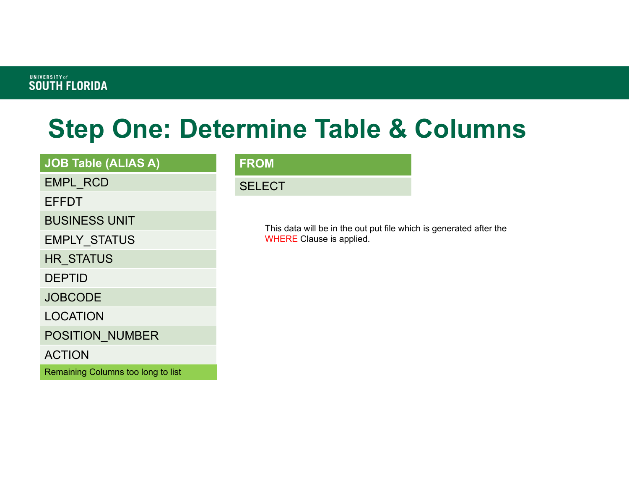# **Step One: Determine Table & Columns**

### **JOB Table (ALIAS A)**

EMPL\_RCD

EFFDT

BUSINESS UNIT

EMPLY\_STATUS

HR\_STATUS

DEPTID

**JOBCODE** 

LOCATION

POSITION\_NUMBER

ACTION

Remaining Columns too long to list

#### **FROM**

**SELECT** 

This data will be in the out put file which is generated after the WHERE Clause is applied.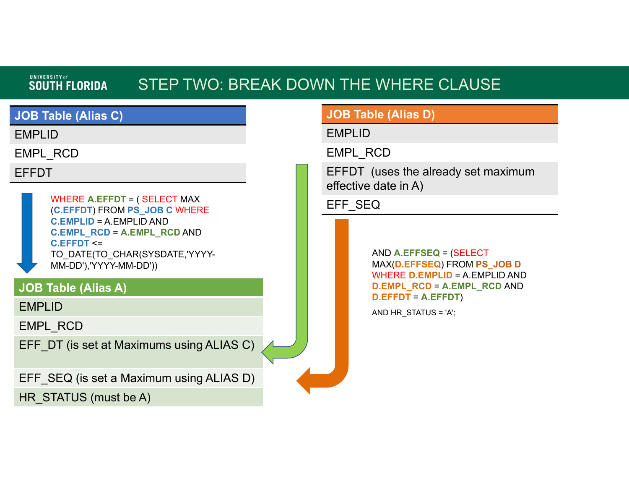### STEP TWO: BREAK DOWN THE WHERE CLAUSE

### **JOB Table (Alias C)**

EMPLID

EMPL\_RCD

EFFDT

WHERE **A.EFFDT** = ( SELECT MAX (**C.EFFDT**) FROM **PS\_JOB C** WHERE **C.EMPLID** = A.EMPLID AND **C.EMPL\_RCD** <sup>=</sup>**A.EMPL\_RCD** AND **C.EFFDT** <= TO\_DATE(TO\_CHAR(SYSDATE,'YYYY-MM-DD'),'YYYY-MM-DD'))

### **JOB Table (Alias A)**

EMPLID

EMPL\_RCD

EFF\_DT (is set at Maximums using ALIAS C)

EFF SEQ (is set a Maximum using ALIAS D)

HR STATUS (must be A)

### **JOB Table (Alias D)**

EMPLID

EMPL\_RCD

EFFDT (uses the already set maximum effective date in A)

EFF\_SEQ

AND **A.EFFSEQ** = (SELECT MAX(**D.EFFSEQ**) FROM **PS\_JOB D**  WHERE **D.EMPLID** = A.EMPLID AND **D.EMPL\_RCD** <sup>=</sup>**A.EMPL\_RCD** AND **D.EFFDT** <sup>=</sup>**A.EFFDT**)

AND HR\_STATUS = 'A';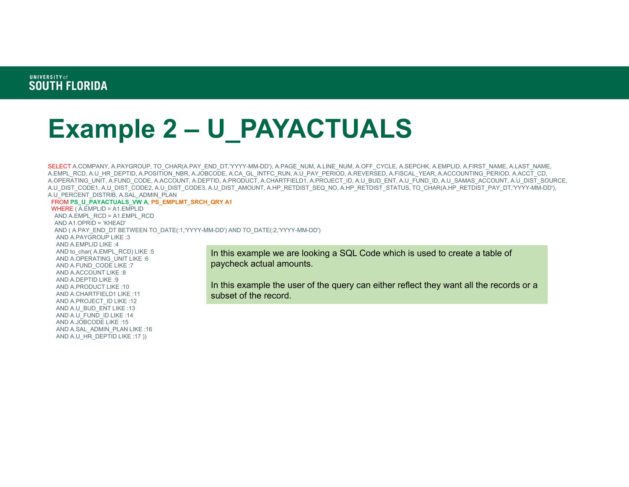# **Example 2 – U\_PAYACTUALS**

SELECT A.COMPANY, A.PAYGROUP, TO\_CHAR(A.PAY\_END\_DT,'YYYY-MM-DD'), A.PAGE\_NUM, A.LINE\_NUM, A.OFF\_CYCLE, A.SEPCHK, A.EMPLID, A.FIRST\_NAME, A.LAST\_NAME, A.EMPL\_RCD, A.U\_HR\_DEPTID, A.POSITION\_NBR, A.JOBCODE, A.CA\_GL\_INTFC\_RUN, A.U\_PAY\_PERIOD, A.REVERSED, A.FISCAL\_YEAR, A.ACCOUNTING\_PERIOD, A.ACCT\_CD, A.OPERATING\_UNIT, A.FUND\_CODE, A.ACCOUNT, A.DEPTID, A.PRODUCT, A.CHARTFIELD1, A.PROJECT\_ID, A.U\_BUD\_ENT, A.U\_FUND\_ID, A.U\_SAMAS\_ACCOUNT, A.U\_DIST\_SOURCE, A.U\_DIST\_CODE1, A.U\_DIST\_CODE2, A.U\_DIST\_CODE3, A.U\_DIST\_AMOUNT, A.HP\_RETDIST\_SEQ\_NO, A.HP\_RETDIST\_STATUS, TO\_CHAR(A.HP\_RETDIST\_PAY\_DT,'YYYY-MM-DD'), A.U\_PERCENT\_DISTRIB, A.SAL\_ADMIN\_PLAN

#### FROM **PS\_U\_PAYACTUALS\_VW A**, **PS\_EMPLMT\_SRCH\_QRY A1**

```
WHERE ( A.EMPLID = A1.EMPLID
AND A.EMPL_RCD = A1.EMPL_RCD
 AND A1.OPRID = 'KHEAD'
 AND ( A.PAY_END_DT BETWEEN TO_DATE(:1,'YYYY-MM-DD') AND TO_DATE(:2,'YYYY-MM-DD')
  AND A.PAYGROUP LIKE :3
 AND A.EMPLID LIKE :4AND to char( A.EMPL_RCD) LIKE :5
 AND A.OPERATING_UNIT LIKE :6
 AND A.FUND_CODE LIKE :7
 AND A.ACCOUNT LIKE :8AND A.DEPTID LIKE :9AND A.PRODUCT LIKE :10AND A.CHARTFIELD1 LIKE :11
 AND A.PROJECT_ID LIKE :12
 AND A.U_BUD_ENT LIKE :13
 AND A.U_FUND_ID LIKE :14
 AND A.JOBCODE LIKE :15AND A.SAL_ADMIN_PLAN LIKE :16
 AND A.U_HR_DEPTID LIKE :17 ))
```
In this example we are looking a SQL Code which is used to create a table of paycheck actual amounts.

In this example the user of the query can either reflect they want all the records or a subset of the record.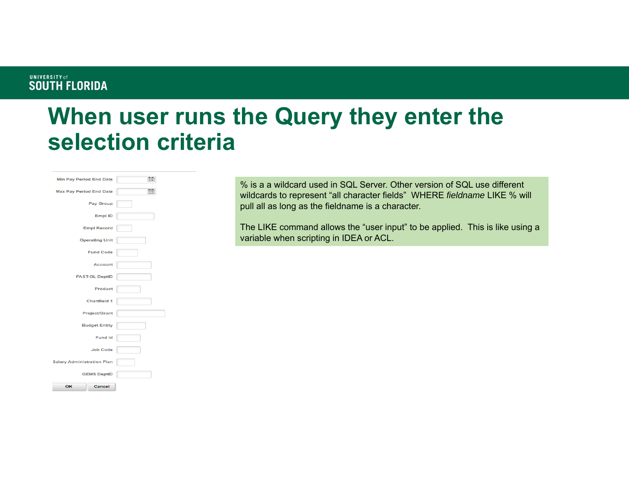### **When user runs the Query they enter the selection criteria**

| <b>Min Pay Period End Date</b>    | 莭 |
|-----------------------------------|---|
| <b>Max Pay Period End Date</b>    | 雨 |
| Pay Group                         |   |
| Empl ID                           |   |
| <b>Empl Record</b>                |   |
| <b>Operating Unit</b>             |   |
| <b>Fund Code</b>                  |   |
| <b>Account</b>                    |   |
| <b>FAST-GL DeptID</b>             |   |
| Product                           |   |
| <b>Chartfield 1</b>               |   |
| <b>Project/Grant</b>              |   |
| <b>Budget Entity</b>              |   |
| <b>Fund Id</b>                    |   |
| <b>Job Code</b>                   |   |
| <b>Salary Administration Plan</b> |   |
| <b>GEMS DeptID</b>                |   |
| OK<br>Cancel                      |   |

% is a a wildcard used in SQL Server. Other version of SQL use different wildcards to represent "all character fields" WHERE *fieldname* LIKE % will pull all as long as the fieldname is a character.

The LIKE command allows the "user input" to be applied. This is like using a variable when scripting in IDEA or ACL.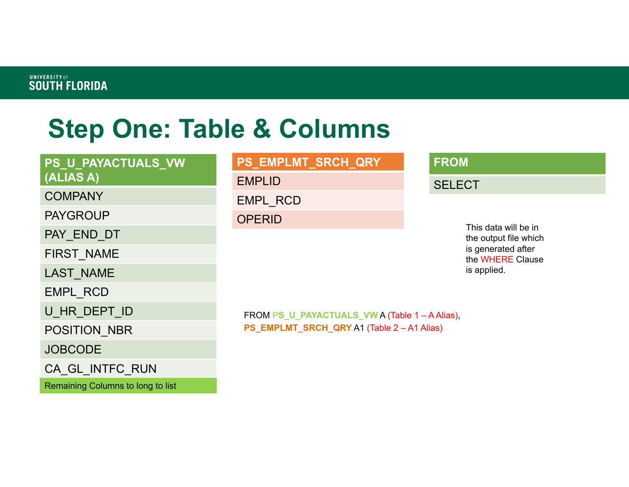# **Step One: Table & Columns**

### **PS\_U\_PAYACTUALS\_VW (ALIAS A)**

#### **COMPANY**

PAYGROUP

PAY\_END\_DT

FIRST\_NAME

LAST\_NAME

EMPL\_RCD

U\_HR\_DEPT\_ID

POSITION\_NBR

JOBCODE

CA\_GL\_INTFC\_RUN

Remaining Columns to long to list

#### **PS\_EMPLMT\_SRCH\_QRY**

EMPLID

EMPL\_RCD

**OPERID** 

#### **FROM**

**SELECT** 

This data will be in the output file which is generated after the WHERE Clause is applied.

FROM P**S\_U\_PAYACTUALS\_VW** A (Table 1 – A Alias), **PS\_EMPLMT\_SRCH\_QRY** A1 (Table 2 – A1 Alias)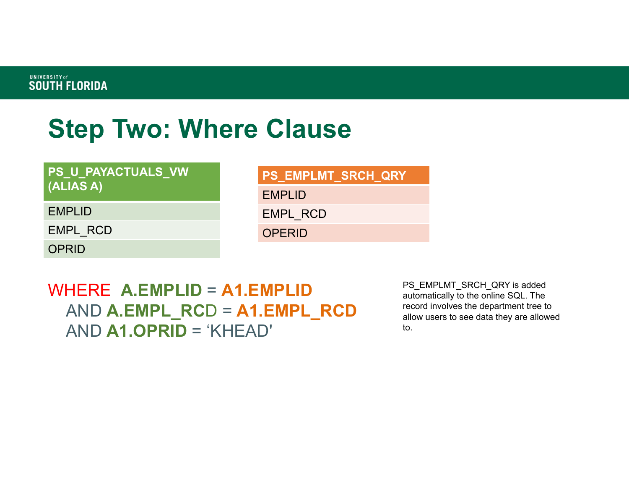## **Step Two: Where Clause**

#### **PS\_U\_PAYACTUALS\_VW (ALIAS A)**

### **PS\_EMPLMT\_SRCH\_QRY**

EMPLID

EMPL\_RCD

**OPERID** 

EMPL\_RCD

EMPLID

**OPRID** 

### WHERE **A.EMPLID** <sup>=</sup>**A1.EMPLID** AND **A.EMPL\_RC** D <sup>=</sup>**A1.EMPL\_RCD** AND **A1.OPRID** <sup>=</sup>'KHEAD'

PS\_EMPLMT\_SRCH\_QRY is added automatically to the online SQL. The record involves the department tree to allow users to see data they are allowed to.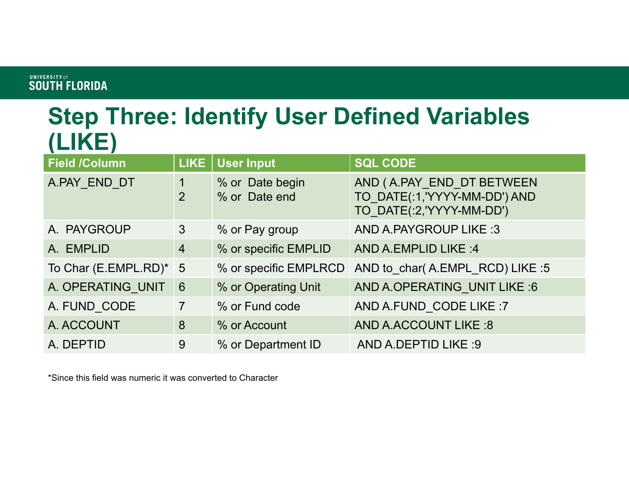### **Step Three: Identify User Defined Variables (LIKE)**

| <b>Field /Column</b>   | LIKE            | <b>User Input</b>                | <b>SQL CODE</b>                                                                       |
|------------------------|-----------------|----------------------------------|---------------------------------------------------------------------------------------|
| A.PAY END DT           | 2               | % or Date begin<br>% or Date end | AND (A.PAY END DT BETWEEN<br>TO DATE(:1,'YYYY-MM-DD') AND<br>TO_DATE(:2,'YYYY-MM-DD') |
| A. PAYGROUP            | 3               | % or Pay group                   | <b>AND A.PAYGROUP LIKE:3</b>                                                          |
| A. EMPLID              | $\overline{4}$  | % or specific EMPLID             | AND A.EMPLID LIKE: 4                                                                  |
| To Char (E.EMPL.RD)* 5 |                 | % or specific EMPLRCD            | AND to char(A.EMPL RCD) LIKE :5                                                       |
| A. OPERATING UNIT      | $6\phantom{1}6$ | % or Operating Unit              | AND A.OPERATING UNIT LIKE :6                                                          |
| A. FUND CODE           | $\overline{7}$  | % or Fund code                   | AND A.FUND CODE LIKE :7                                                               |
| A. ACCOUNT             | 8               | % or Account                     | <b>AND A.ACCOUNT LIKE:8</b>                                                           |
| A. DEPTID              | 9               | % or Department ID               | AND A.DEPTID LIKE :9                                                                  |

\*Since this field was numeric it was converted to Character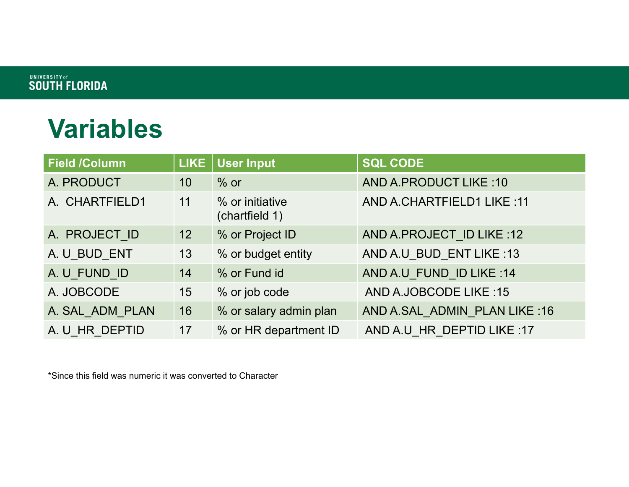## **Variables**

| <b>Field /Column</b> |                 | LIKE   User Input                 | <b>SQL CODE</b>               |
|----------------------|-----------------|-----------------------------------|-------------------------------|
| A. PRODUCT           | 10              | $%$ or                            | <b>AND A.PRODUCT LIKE:10</b>  |
| A. CHARTFIELD1       | 11              | % or initiative<br>(chartfield 1) | AND A.CHARTFIELD1 LIKE: 11    |
| A. PROJECT ID        | 12 <sup>°</sup> | % or Project ID                   | AND A.PROJECT ID LIKE :12     |
| A. U BUD ENT         | 13              | % or budget entity                | AND A.U BUD ENT LIKE:13       |
| A. U FUND ID         | 14              | % or Fund id                      | AND A.U FUND ID LIKE:14       |
| A. JOBCODE           | 15 <sub>1</sub> | % or job code                     | <b>AND A.JOBCODE LIKE:15</b>  |
| A. SAL ADM PLAN      | 16              | % or salary admin plan            | AND A.SAL ADMIN PLAN LIKE: 16 |
| A. U HR DEPTID       | 17              | % or HR department ID             | AND A.U HR DEPTID LIKE :17    |

\*Since this field was numeric it was converted to Character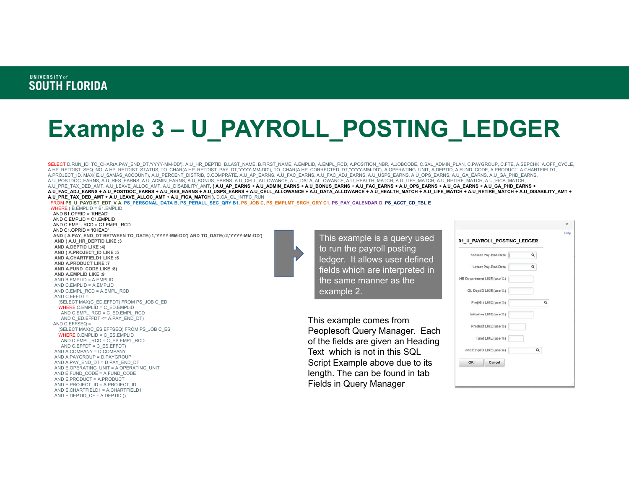## **Example 3 – U\_PAYROLL\_POSTING\_LEDGER**

SELECT D.RUN\_ID, TO\_CHAR(A.PAY\_END\_DT,'YYYY-MM-DD'), A.U\_HR\_DEPTID, B.LAST\_NAME, B.FIRST\_NAME, A.EMPLID, A.EMPL\_RCD, A.POSITION\_NBR, A.JOBCODE, C.SAL\_ADMIN\_PLAN, C.PAYGROUP, C.FTE, A.SEPCHK, A.OFF\_CYCLE, A.HP\_RETDIST\_SEQ\_NO, A.HP\_RETDIST\_STATUS, TO\_CHAR(A.HP\_RETDIST\_PAY\_DT,'YYYY-MM-DD'), TO\_CHAR(A.HP\_CORRECTED\_DT,'YYYY-MM-DD'), A.OPERATING\_UNIT, A.DEPTID, A.FUND\_CODE, A.PRODUCT, A.CHARTFIELD1, A.PROJECT\_ID, MAX( E.U\_SAMAS\_ACCOUNT), A.U\_PERCENT\_DISTRIB, C.COMPRATE, A.U\_AP\_EARNS, A.U\_FAC\_EARNS, A.U\_FAC\_ADJ\_EARNS, A.U\_USPS\_EARNS, A.U\_OPS\_EARNS, A.U\_OA\_EARNS, A.U\_GA\_PHD\_EARNS,<br>A.U\_POSTDOC\_EARNS, A.U\_RES\_EARNS, A.U\_A A.U\_PRE\_TAX\_DED\_AMT, A.U\_LEAVE\_ALLOC\_AMT, A.U\_DISABILITY\_AMT**, ( A.U\_AP\_EARNS + A.U\_ADMIN\_EARNS + A.U\_BONUS\_EARNS + A.U\_FAC\_EARNS + A.U\_OPS\_EARNS + A.U\_GA\_EARNS + A.U\_GA\_PHD\_EARNS +**  A.U\_FAC\_ADJ\_EARNS + A.U\_POSTDOC\_EARNS + A.U\_RES\_EARNS + A.U\_USPS\_EARNS + A.U\_CELL\_ALLOWANCE + A.U\_DATA\_ALLOWANCE + A.U\_HEALTH\_MATCH + A.U\_LIFE\_MATCH + A.U\_RETIRE\_MATCH + A.U\_DISABILITY\_AMT + **A.U\_PRE\_TAX\_DED\_AMT + A.U\_LEAVE\_ALLOC\_AMT + A.U\_FICA\_MATCH ),** D.CA\_GL\_INTFC\_RUN

```
FROM PS_U_PAYDIST_EDT_V A, PS_PERSONAL_DATA B, PS_PERALL_SEC_QRY B1, PS_JOB C, PS_EMPLMT_SRCH_QRY C1, PS_PAY_CALENDAR D, PS_ACCT_CD_TBL E
WHERE ( B.EMPLID = B1.EMPLID
 AND B1.OPRID = 'KHEAD'
```

```

AND C.EMPLID = C1.EMPLID
AND C.EMPL_RCD = C1.EMPL_RCD
AND C1.OPRID = 'KHEAD'
AND ( A.PAY_END_DT BETWEEN TO_DATE(:1,'YYYY-MM-DD') AND TO_DATE(:2,'YYYY-MM-DD')
AND ( A.U_HR_DEPTID LIKE :3
AND A.DEPTID LIKE :4)
AND ( A.PROJECT_ID LIKE :5
AND A.CHARTFIELD1 LIKE :6AND A.PRODUCT LIKE :7
AND A.FUND_CODE LIKE :8)
AND A.EMPLID LIKE :9
AND B.EMPLID = A.EMPLID
AND C.EMPLID = A.EMPLID
AND C.EMPL_RCD = A.EMPL_RCD
AND C.EFFDT =

(SELECT MAX(C_ED.EFFDT) FROM PS_JOB C_ED
 WHERE C.EMPLID = C_ED.EMPLID
  AND C.EMPL_RCD = \overline{C} ED.EMPL_RCD
   AND C_ED.EFFDT <= A.PAY_END_DT)
AND C.EFFSEQ =

(SELECT MAX(C_ES.EFFSEQ) FROM PS_JOB C_ES
  WHERE C.EMPLID = C_ES.EMPLID
   AND C.EMPL_RCD = C_ES.EMPL_RCD
   AND C.EFFDT = C ES.EFFDT)
AND A.COMPANY = D.COMPANY
AND A.PAYGROUP = D.PAYGROUP
AND A.PAY_END_DT = D.PAY_END_DT
AND E.OPERATING_UNIT = A.OPERATING_UNIT
AND E.FUND_CODE = A.FUND_CODE
AND E.PRODUCT = A.PRODUCT
AND E.PROJECT_ID = A.PROJECT_ID
 AND E.CHARTFIELD1 = A.CHARTFIELD1
AND E.DEPTID_CF = A.DEPTID ))
```
This example is a query used to run the payroll posting ledger. It allows user defined fields which are interpreted in the same manner as the example 2.

This example comes from Peoplesoft Query Manager. Each of the fields are given an Heading Text which is not in this SQL Script Example above due to its length. The can be found in tab Fields in Query Manager

|    | Earliest Pay-End-Date      | $\alpha$ |          |  |
|----|----------------------------|----------|----------|--|
|    | Latest Pay-End-Date        | Q        |          |  |
|    | HR Department LIKE (use %) |          |          |  |
|    | GL DeptiD LIKE (use %)     |          |          |  |
|    | Proj/Grt LIKE (use %)      |          | $\alpha$ |  |
|    | Initiative LIKE (use %)    |          |          |  |
|    | Product LIKE (use %)       |          |          |  |
|    | Fund LIKE (use %)          |          |          |  |
|    | and EmplID LIKE (use %)    | Q        |          |  |
| OK | Cancel                     |          |          |  |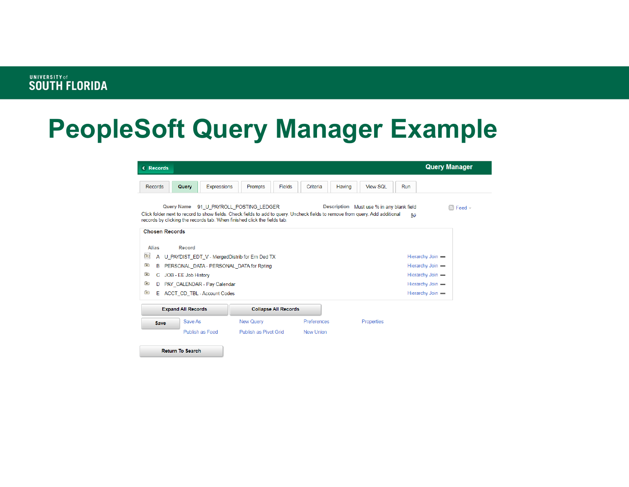## **PeopleSoft Query Manager Example**

| <b>Query Manager</b><br><b>&lt; Records</b>                                                                                                                                                                                                                                                                                                              |                           |                                                                                            |                       |                             |             |        |                   |     |                                      |  |
|----------------------------------------------------------------------------------------------------------------------------------------------------------------------------------------------------------------------------------------------------------------------------------------------------------------------------------------------------------|---------------------------|--------------------------------------------------------------------------------------------|-----------------------|-----------------------------|-------------|--------|-------------------|-----|--------------------------------------|--|
| <b>Records</b>                                                                                                                                                                                                                                                                                                                                           | Query                     | <b>Expressions</b>                                                                         | Prompts               | <b>Fields</b>               | Criteria    | Having | View SOI          | Run |                                      |  |
| <b>Query Name</b><br>Description Must use % in any blank field<br>91 U PAYROLL POSTING LEDGER<br>$\sqrt{ }$ Feed $\sqrt{ }$<br>Click folder next to record to show fields. Check fields to add to query. Uncheck fields to remove from query. Add additional<br>$30^{\circ}$<br>records by clicking the records tab. When finished click the fields tab. |                           |                                                                                            |                       |                             |             |        |                   |     |                                      |  |
| <b>Chosen Records</b><br><b>Alias</b><br>Record                                                                                                                                                                                                                                                                                                          |                           |                                                                                            |                       |                             |             |        |                   |     |                                      |  |
| Þ<br>A<br>G)<br>в                                                                                                                                                                                                                                                                                                                                        |                           | U PAYDIST EDT V - MergedDistrib for Ern Ded TX<br>PERSONAL DATA - PERSONAL DATA for Rpting |                       |                             |             |        |                   |     | Hierarchy Join -<br>Hierarchy Join - |  |
| 田<br>Hierarchy Join -<br>C JOB - EE Job History<br>审<br>Hierarchy Join -<br>PAY CALENDAR - Pay Calendar<br>D                                                                                                                                                                                                                                             |                           |                                                                                            |                       |                             |             |        |                   |     |                                      |  |
| ÷<br>E                                                                                                                                                                                                                                                                                                                                                   |                           | <b>ACCT CD TBL - Account Codes</b>                                                         |                       |                             |             |        |                   |     | Hierarchy Join -                     |  |
|                                                                                                                                                                                                                                                                                                                                                          | <b>Expand All Records</b> |                                                                                            |                       | <b>Collapse All Records</b> |             |        |                   |     |                                      |  |
| Save                                                                                                                                                                                                                                                                                                                                                     | Save As                   |                                                                                            | <b>New Query</b>      |                             | Preferences |        | <b>Properties</b> |     |                                      |  |
|                                                                                                                                                                                                                                                                                                                                                          |                           | Publish as Feed                                                                            | Publish as Pivot Grid |                             | New Union   |        |                   |     |                                      |  |
|                                                                                                                                                                                                                                                                                                                                                          | <b>Return To Search</b>   |                                                                                            |                       |                             |             |        |                   |     |                                      |  |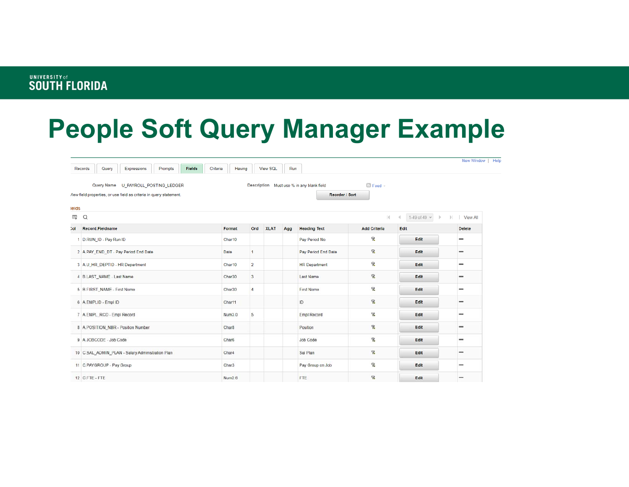## **People Soft Query Manager Example**

|       | Query<br>Expressions<br>Prompts<br><b>Fields</b><br>Records                                                | Criteria<br>Having |                  | View SQL    | Run |                                                             |                     |                                                 | New Window   Help       |
|-------|------------------------------------------------------------------------------------------------------------|--------------------|------------------|-------------|-----|-------------------------------------------------------------|---------------------|-------------------------------------------------|-------------------------|
|       | Query Name U PAYROLL POSTING LEDGER<br>/iew field properties, or use field as criteria in query statement. |                    |                  |             |     | Description Must use % in any blank field<br>Reorder / Sort | $\Box$ Feed $\sim$  |                                                 |                         |
| ields |                                                                                                            |                    |                  |             |     |                                                             |                     |                                                 |                         |
| E.    | $\alpha$                                                                                                   |                    |                  |             |     |                                                             | $\mathbb{R}$        | 1-49 of 49 v<br>$\overline{a}$<br>$\rightarrow$ | $\mathbb{H}$   View All |
| lo:   | Record.Fieldname                                                                                           | Format             | Ord              | <b>XLAT</b> | Agg | <b>Heading Text</b>                                         | <b>Add Criteria</b> | Edit                                            | <b>Delete</b>           |
|       | 1 D.RUN_ID - Pay Run ID                                                                                    | Char10             |                  |             |     | Pay Period No.                                              | P.                  | Edit                                            |                         |
|       | 2 A.PAY END DT - Pay Period End Date                                                                       | Date               | -1               |             |     | Pay Period End Date                                         | P.                  | Edit                                            | -                       |
|       | 3 A.U HR DEPTID - HR Department                                                                            | Char10             | $\overline{2}$   |             |     | <b>HR</b> Department                                        | 오                   | Edit                                            | -                       |
|       | 4 B.LAST_NAME - Last Name                                                                                  | Char30             | 3                |             |     | <b>Last Name</b>                                            | $\mathcal{L}$       | Edit                                            | $-$                     |
|       | 5 B.FIRST_NAME - First Name                                                                                | Char30             | $\boldsymbol{A}$ |             |     | <b>First Name</b>                                           | S.                  | Edit                                            | -                       |
|       | 6 A.EMPLID - Empl ID                                                                                       | Char11             |                  |             |     | ID                                                          | $\mathcal{R}$       | Edit                                            |                         |
|       | 7 A EMPL RCD - Empl Record                                                                                 | Num3.0             | 5                |             |     | Empl Record                                                 | P.                  | Edit                                            |                         |
|       | 8 A POSITION_NBR - Position Number                                                                         | Char <sub>8</sub>  |                  |             |     | Position                                                    | P.                  | Edit                                            |                         |
|       | 9 A JOBCODE - Job Code                                                                                     | Char6              |                  |             |     | Job Code                                                    | S.                  | Edit                                            | -                       |
|       | 10 C.SAL_ADMIN_PLAN - Salary Administration Plan                                                           | Char4              |                  |             |     | Sal Plan                                                    | S.                  | Edit                                            | -                       |
|       | 11 C PAYGROUP - Pay Group                                                                                  | Char3              |                  |             |     | Pay Group on Job                                            | 8                   | Edit                                            |                         |
|       | 12 C FTE - FTE                                                                                             | Num <sub>2.6</sub> |                  |             |     | <b>FTE</b>                                                  | S.                  | Edit                                            |                         |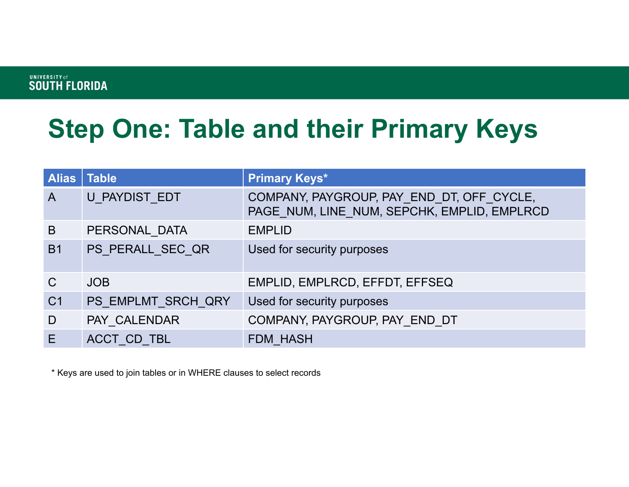# **Step One: Table and their Primary Keys**

| Alias   Table  |                    | <b>Primary Keys*</b>                                                                     |
|----------------|--------------------|------------------------------------------------------------------------------------------|
| $\overline{A}$ | U PAYDIST EDT      | COMPANY, PAYGROUP, PAY END DT, OFF CYCLE,<br>PAGE NUM, LINE NUM, SEPCHK, EMPLID, EMPLRCD |
| B              | PERSONAL DATA      | <b>EMPLID</b>                                                                            |
| <b>B1</b>      | PS PERALL SEC QR   | Used for security purposes                                                               |
| $\mathsf{C}$   | <b>JOB</b>         | EMPLID, EMPLRCD, EFFDT, EFFSEQ                                                           |
| C <sub>1</sub> | PS EMPLMT SRCH QRY | Used for security purposes                                                               |
| D              | PAY CALENDAR       | COMPANY, PAYGROUP, PAY END DT                                                            |
| E              | ACCT CD TBL        | <b>FDM HASH</b>                                                                          |

\* Keys are used to join tables or in WHERE clauses to select records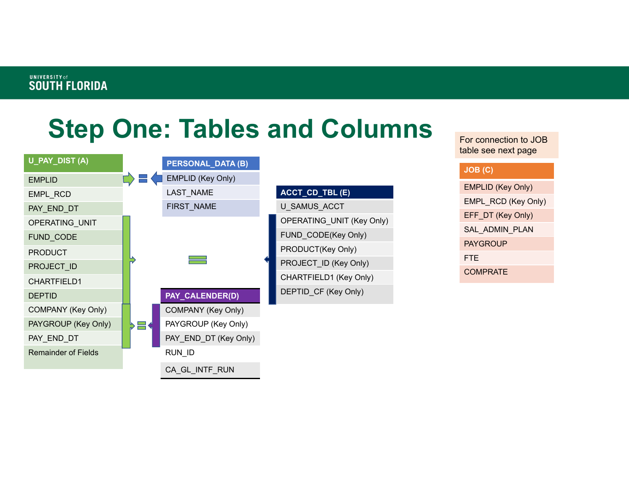## **Step One: Tables and Columns**



For connection to JOB table see next page

#### **JOB (C)**

EMPLID (Key Only) EMPL\_RCD (Key Only) EFF\_DT (Key Only) SAL\_ADMIN\_PLAN PAYGROUPFTE**COMPRATE**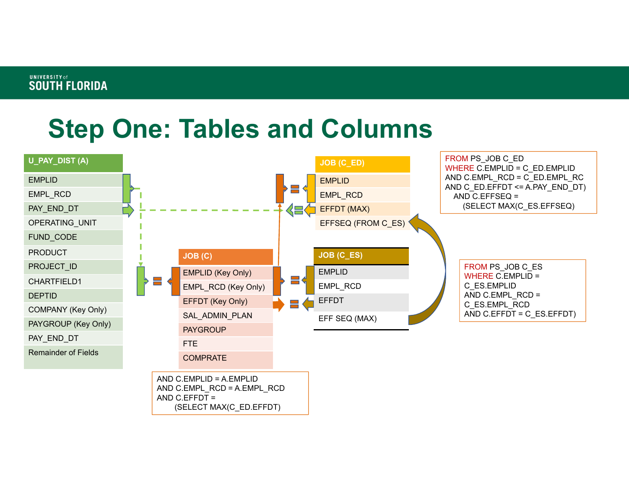## **Step One: Tables and Columns**

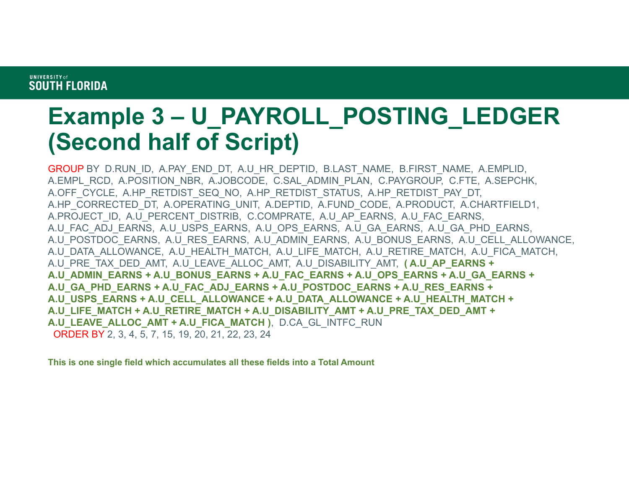### **Example 3 – U\_PAYROLL\_POSTING\_LEDGER (Second half of Script)**

GROUP BY D.RUN\_ID, A.PAY\_END\_DT, A.U\_HR\_DEPTID, B.LAST\_NAME, B.FIRST\_NAME, A.EMPLID, A.EMPL\_RCD, A.POSITION\_NBR, A.JOBCODE, C.SAL\_ADMIN\_PLAN, C.PAYGROUP, C.FTE, A.SEPCHK, A.OFF CYCLE, A.HP\_RETDIST\_SEQ\_NO, A.HP\_RETDIST\_STATUS, A.HP\_RETDIST\_PAY\_DT, A.HP\_CORRECTED\_DT, A.OPERATING\_UNIT, A.DEPTID, A.FUND\_CODE, A.PRODUCT, A.CHARTFIELD1, A.PROJECT\_ID, A.U\_PERCENT\_DISTRIB, C.COMPRATE, A.U\_AP\_EARNS, A.U\_FAC\_EARNS, A.U\_FAC\_ADJ\_EARNS, A.U\_USPS\_EARNS, A.U\_OPS\_EARNS, A.U\_GA\_EARNS, A.U\_GA\_PHD\_EARNS, A.U POSTDOC EARNS, A.U RES EARNS, A.U ADMIN EARNS, A.U BONUS EARNS, A.U CELL ALLOWANCE, A.U\_DATA\_ALLOWANCE, A.U\_HEALTH\_MATCH, A.U\_LIFE\_MATCH, A.U\_RETIRE\_MATCH, A.U\_FICA\_MATCH, A.U\_PRE\_TAX\_DED\_AMT, A.U\_LEAVE\_ALLOC\_AMT, A.U\_DISABILITY\_AMT, **( A.U\_AP\_EARNS + A.U\_ADMIN\_EARNS + A.U\_BONUS\_EARNS + A.U\_FAC\_EARNS + A.U\_OPS\_EARNS + A.U\_GA\_EARNS + A.U\_GA\_PHD\_EARNS + A.U\_FAC\_ADJ\_EARNS + A.U\_POSTDOC\_EARNS + A.U\_RES\_EARNS + A.U\_USPS\_EARNS + A.U\_CELL\_ALLOWANCE + A.U\_DATA\_ALLOWANCE + A.U\_HEALTH\_MATCH + A.U\_LIFE\_MATCH + A.U\_RETIRE\_MATCH + A.U\_DISABILITY\_AMT + A.U\_PRE\_TAX\_DED\_AMT + A.U\_LEAVE\_ALLOC\_AMT + A.U\_FICA\_MATCH )**, D.CA\_GL\_INTFC\_RUN ORDER BY 2, 3, 4, 5, 7, 15, 19, 20, 21, 22, 23, 24

**This is one single field which accumulates all these fields into a Total Amount**